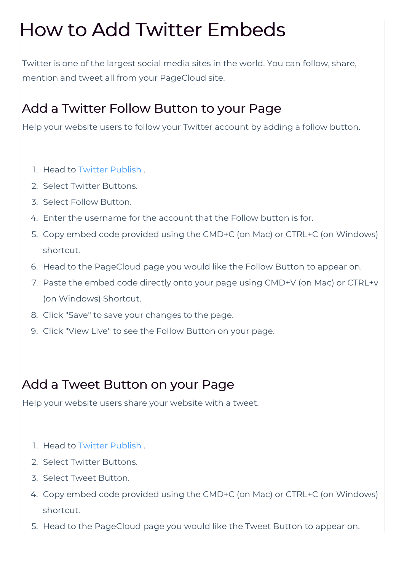# How to Add Twitter Embeds

Twitter is one of the largest social media sites in the world. You can follow, share, mention and tweet all from your PageCloud site.

## Add a Twitter Follow Button to your Page

Help your website users to follow your Twitter account by adding a follow button.

- 1. Head to Twitter Publish .
- 2. Select Twitter Buttons.
- 3. Select Follow Button.
- 4. Enter the username for the account that the Follow button is for.
- 5. Copy embed code provided using the CMD+C (on Mac) or CTRL+C (on Windows) shortcut.
- 6. Head to the PageCloud page you would like the Follow Button to appear on.
- 7. Paste the embed code directly onto your page using CMD+V (on Mac) or CTRL+v (on Windows) Shortcut.
- 8. Click "Save" to save your changes to the page.
- 9. Click "View Live" to see the Follow Button on your page.

# Add a Tweet Button on your Page

Help your website users share your website with a tweet.

- 1. Head to Twitter Publish .
- 2. Select Twitter Buttons.
- 3. Select Tweet Button.
- 4. Copy embed code provided using the CMD+C (on Mac) or CTRL+C (on Windows) shortcut.
- 5. Head to the PageCloud page you would like the Tweet Button to appear on.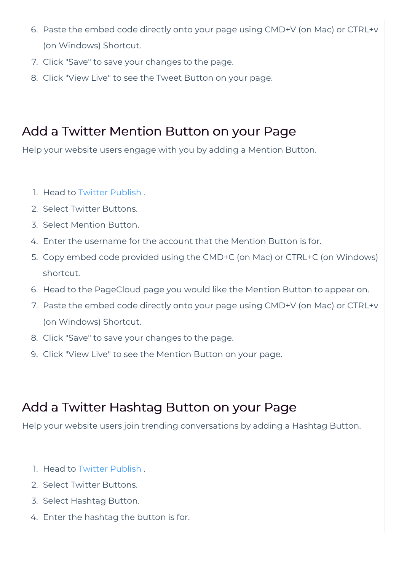- 6. Paste the embed code directly onto your page using CMD+V (on Mac) or CTRL+v (on Windows) Shortcut.
- 7. Click "Save" to save your changes to the page.
- 8. Click "View Live" to see the Tweet Button on your page.

# Add a Twitter Mention Button on your Page

Help your website users engage with you by adding a Mention Button.

- 1. Head to Twitter Publish .
- 2. Select Twitter Buttons.
- 3. Select Mention Button.
- 4. Enter the username for the account that the Mention Button is for.
- 5. Copy embed code provided using the CMD+C (on Mac) or CTRL+C (on Windows) shortcut.
- 6. Head to the PageCloud page you would like the Mention Button to appear on.
- 7. Paste the embed code directly onto your page using CMD+V (on Mac) or CTRL+v (on Windows) Shortcut.
- 8. Click "Save" to save your changes to the page.
- 9. Click "View Live" to see the Mention Button on your page.

## Add a Twitter Hashtag Button on your Page

Help your website users join trending conversations by adding a Hashtag Button.

- 1. Head to Twitter Publish .
- 2. Select Twitter Buttons.
- 3. Select Hashtag Button.
- 4. Enter the hashtag the button is for.